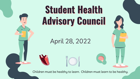## **Student Health Advisory Council**

April 28, 2022

Children must be healthy to learn. Children must learn to be healthy.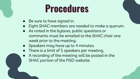## **Procedures**

- Be sure to have signed in.
- Eight SHAC members are needed to make a quorum.
- As noted in the bylaws, public questions or comments must be emailed to the SHAC chair one week prior to the meeting.
- Speakers may have up to 4 minutes.
- There is a limit of 5 speakers per meeting.
- A recording of the meeting will be posted in the SHAC portion of the FISD website.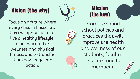### **Vision (the why)**

Focus on a future where every child in Frisco ISD has the opportunity to live a healthy lifestyle, to be educated on wellness and physical fitness, and to transfer that knowledge into action.



**Mission (the how)**

Promote sound school policies and practices that will improve the health and wellness of our students, faculty, and community members.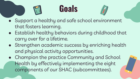### **Goals**



- Support a healthy and safe school environment that fosters learning.
- Establish healthy behaviors during childhood that carry over for a lifetime.
- Strengthen academic success by enriching health and physical activity opportunities.
- Champion the practice Community and School Health by effectively implementing the eight components of our SHAC (subcommittees).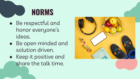### **NORMS**

- Be respectful and honor everyone's ideas.
- Be open minded and solution driven.
- Keep it positive and share the talk time.

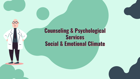#### **Counseling & Psychological Services Social & Emotional Climate**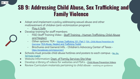**SB 9: Addressing Child Abuse, Sex Trafficking and Family Violence** 

- Adopt and implement a policy addressing sexual abuse and other maltreatment of children (anti-vicitmization program)
	- [Play it Safe](https://www.playitsafe.org/index_organizations.php)

34 - 4.3

- Develop training for staff members
	- FISD Staff Training Video - [Staff Training Human Trafficking, Child Abuse](https://docs.google.com/presentation/d/1IuqG7Uqo8adFj-rj_oI815XPiEa7LdQ0GEaqNk9qk5I/edit?usp=sharing) [and Neglect](https://docs.google.com/presentation/d/1IuqG7Uqo8adFj-rj_oI815XPiEa7LdQ0GEaqNk9qk5I/edit?usp=sharing)
	- Other options: TEA [Human Trafficking 101: Part 1](https://www.youtube.com/watch?v=Oyl7HdwIMwc); [TEA Child Abuse Prevention An](https://tea.texas.gov/texas-schools/health-safety-discipline/child-abuse-prevention/child-abuse-prevention-an-overview) [Overview](https://tea.texas.gov/texas-schools/health-safety-discipline/child-abuse-prevention/child-abuse-prevention-an-overview); [TEA Abuse, Neglect and Trafficking Toolkit](https://tea.texas.gov/texas-schools/health-safety-discipline/prevention-and-awareness-of-child-abuse-neglect-including-trafficking-of-a-child-toolkit-and-resources)
	- Brochures and General Info. Children's Advocacy Center of Texas <https://ecsatexas.com/resources1>
- Schools must provide child abuse hotlines and posters to each campus [No, Go,](https://tea.texas.gov/sites/default/files/Child%20Abuse_Poster_English.pdf) [Tell Poster English](https://tea.texas.gov/sites/default/files/Child%20Abuse_Poster_English.pdf)
- Website Information: [Dept. of Family Services Site Map](http://www.dfps.state.tx.us/Site_Map/)
- Develop a library of videos for websites and PSA's [Child Abuse Prevention Videos](https://tea.texas.gov/sites/default/files/human-trafficking-webinar-series.pdf)
- Review Curriculum materials pertaining to child abuse waitiing on guidance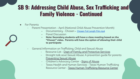#### **SB 9: Addressing Child Abuse, Sex Trafficking and Family Violence - Continued**

#### **For Parents**

- Parent Presentation April (National Child Abuse Prevention Month)
	- **-** Documentary Chosen [Chosen Full Length Film.mp4](https://drive.google.com/file/d/1l1CP9A-8Ca4SOM5ZOroPkKSVN8Ttts7l/view)
	- **-** Panel Discussion
	- **- Note: Secondary students will have a class meeting based on the "Chosen" video. Parents will have the option of allowing their child to participate**
- General Information on Trafficking, Child and Sexual Abuse
	- Resource List - [Dept of Family and Protective Services](http://www.dfps.state.tx.us/Site_Map/)
	- Straight talk aout Sexual Abuse: A prevention guide for parents [Preventing Sexual Abuse](https://www.enoughabuse.org/images/stories/Bookshelf/Straight_Talk/straighttalk_gba_interactiveREV.pdf)
	- Children's Advocacy Center [Signs of Abuse](https://ecsatexas.com/signs-of-abuse)
	- Texas Health and Human Services Texas Human Trafficking Resource Center - [Texas Human Trafficking Resource Center](https://www.hhs.texas.gov/services/safety/texas-human-trafficking-resource-center)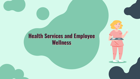#### **Health Services and Employee Wellness**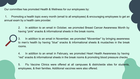Our committee has promoted Health & Wellness for our employees by:

 1. Promoting a health topic every month (email to all employees) & encouraging employees to get an annual exam by a health care provider.

> 2. In addition to an email in October, we promoted Breast Cancer Awareness Month by having "pink" snacks & informational sheets in the break rooms.

> 3. In addition to an email in November, we promoted "Movember" by bringing awareness to men's health by having "blue" snacks & informational sheets & mustaches in the break rooms.

> 4. In addition to an email in February, we promoted Heart Health Awareness by having "red" snacks & informational sheets in the break rooms & promoting blood pressure checks.

> 5. Flu Vaccine Clinics were offered at all campuses & districtwide sites for students, employees, & their families. Additional vaccines were also offered.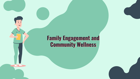#### **Family Engagement and Community Wellness**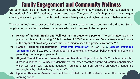#### **Family Engagement and Community Wellness**

Our committee has promoted Family Engagement and Community Wellness this year by listening to the feedback from FISD students, parents, and staff. The year after COVID provided many unique challenges including a rise in mental health issues, family strife, and higher failure and behavior rates.

The committee's voice expressed the need for *increased parent resources* from the district. Some tangible outcomes that have been implemented or are in progress to be complete:

- 1) **Revival of the FISD Health and Wellness fair for students & parents**. The committee had early plans for this event for spring '22, but the rise of COVID numbers over Dec-January caused pause in the organization of large events. We are hoping to keep this project alive for 22-23!
- 2) **Hosted Parenting Presentations- "[Pandemic Population"](https://docs.google.com/presentation/d/1JdmdZswjkm-F8jiKZbcq9H8MIftJTawYB2dv_ql4yU8/edit?usp=sharing)** in Jan '22 & *[Chasing Childhood](https://docs.google.com/presentation/d/1ANWBYaoapMYtwWDiEqhXQ7NhtbMlzbZDQRs1sPAkEaU/edit?usp=sharing)* **[Screening](https://docs.google.com/presentation/d/1ANWBYaoapMYtwWDiEqhXQ7NhtbMlzbZDQRs1sPAkEaU/edit?usp=sharing)** in April '22. Both offered opportunities to examine student behavior and mindsets and parenting practices post-pandemic.
- 3) **Aligned Parent Education Presentation for Mandated Topics**: For the 22-23 school year, the district Guidance & Counseling department will offer monthly parent education opportunities which will align with student education (suicide prevention, bullying prevention, substance misuse, healthy relationships, human trafficking)
- 4) **Updated Resource Search tool-** will be updated on FISD website under the Parent (coming soon!)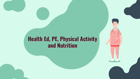#### **Health Ed, PE, Physical Activity and Nutrition**

F.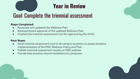

### **Year in Review**

### Goal: Complete the triennial assessment

#### **Steps Completed:**

- Reviewed and updated the Wellness Plan
- Received board approval of the updated Wellness Plan
- Created the triennial assessment tool for approval by the SHAC

#### **Next Steps:**

- Send triennial assessment tool to all campus locations to assess baseline implementation of the FISD Wellness Policy and Plan
- Publish triennial assessment results on FISD website
- Provide best practice recommendations to campuses



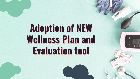## **Adoption of NEW Wellness Plan and Evaluation tool**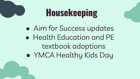## **Housekeeping**

• Aim for Success updates ● Health Education and PE textbook adoptions ● YMCA Healthy Kids Day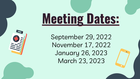# **Meeting Dates:**

September 29, 2022 November 17, 2022 January 26, 2023 March 23, 2023